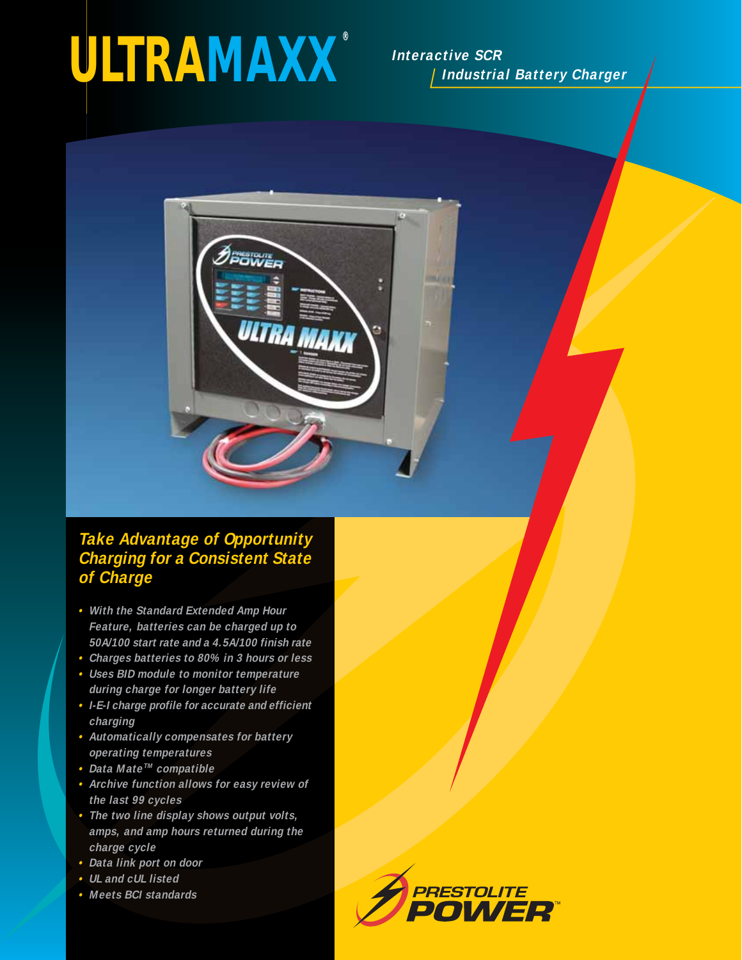# *ULTRAMAXX ®*

**Interactive SCR Industrial Battery Charger**



## **Take Advantage of Opportunity Charging for a Consistent State of Charge**

- **• With the Standard Extended Amp Hour Feature, batteries can be charged up to 50A/100 start rate and a 4.5A/100 finish rate**
- **• Charges batteries to 80% in 3 hours or less**
- **• Uses BID module to monitor temperature during charge for longer battery life**
- **• I-E-I charge profile for accurate and efficient charging**
- **• Automatically compensates for battery operating temperatures**
- **• Data MateTM compatible**
- **• Archive function allows for easy review of the last 99 cycles**
- **• The two line display shows output volts, amps, and amp hours returned during the charge cycle**
- **• Data link port on door**
- **• UL and cUL listed**
- **• Meets BCI standards**

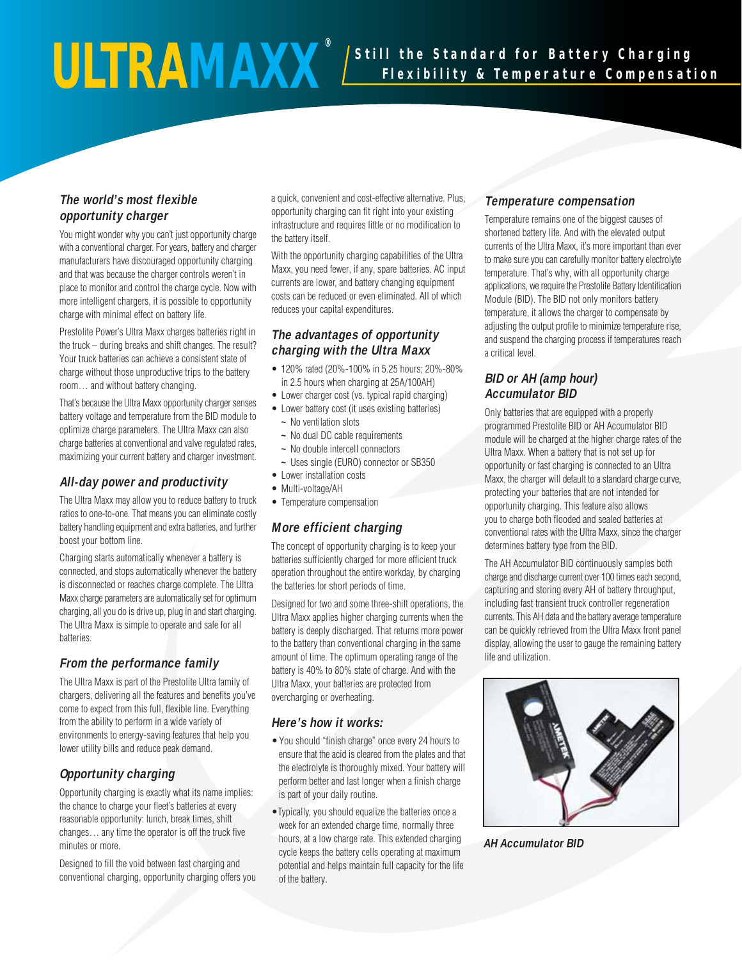#### **The world's most flexible opportunity charger**

You might wonder why you can't just opportunity charge with a conventional charger. For years, battery and charger manufacturers have discouraged opportunity charging and that was because the charger controls weren't in place to monitor and control the charge cycle. Now with more intelligent chargers, it is possible to opportunity charge with minimal effect on battery life.

Prestolite Power's Ultra Maxx charges batteries right in the truck – during breaks and shift changes. The result? Your truck batteries can achieve a consistent state of charge without those unproductive trips to the battery room… and without battery changing.

That's because the Ultra Maxx opportunity charger senses battery voltage and temperature from the BID module to optimize charge parameters. The Ultra Maxx can also charge batteries at conventional and valve regulated rates, maximizing your current battery and charger investment.

#### **All-day power and productivity**

The Ultra Maxx may allow you to reduce battery to truck ratios to one-to-one. That means you can eliminate costly battery handling equipment and extra batteries, and further boost your bottom line.

Charging starts automatically whenever a battery is connected, and stops automatically whenever the battery is disconnected or reaches charge complete. The Ultra Maxx charge parameters are automatically set for optimum charging, all you do is drive up, plug in and start charging. The Ultra Maxx is simple to operate and safe for all batteries.

#### **From the performance family**

The Ultra Maxx is part of the Prestolite Ultra family of chargers, delivering all the features and benefits you've come to expect from this full, flexible line. Everything from the ability to perform in a wide variety of environments to energy-saving features that help you lower utility bills and reduce peak demand.

#### **Opportunity charging**

Opportunity charging is exactly what its name implies: the chance to charge your fleet's batteries at every reasonable opportunity: lunch, break times, shift changes… any time the operator is off the truck five minutes or more.

Designed to fill the void between fast charging and conventional charging, opportunity charging offers you a quick, convenient and cost-effective alternative. Plus, opportunity charging can fit right into your existing infrastructure and requires little or no modification to the battery itself.

With the opportunity charging capabilities of the Ultra Maxx, you need fewer, if any, spare batteries. AC input currents are lower, and battery changing equipment costs can be reduced or even eliminated. All of which reduces your capital expenditures.

#### **The advantages of opportunity charging with the Ultra Maxx**

- 120% rated (20%-100% in 5.25 hours; 20%-80% in 2.5 hours when charging at 25A/100AH)
- Lower charger cost (vs. typical rapid charging)
- Lower battery cost (it uses existing batteries)
	- **~** No ventilation slots
	- **~** No dual DC cable requirements
	- **~** No double intercell connectors
- **~** Uses single (EURO) connector or SB350
- Lower installation costs
- Multi-voltage/AH
- Temperature compensation

#### **More efficient charging**

The concept of opportunity charging is to keep your batteries sufficiently charged for more efficient truck operation throughout the entire workday, by charging the batteries for short periods of time.

Designed for two and some three-shift operations, the Ultra Maxx applies higher charging currents when the battery is deeply discharged. That returns more power to the battery than conventional charging in the same amount of time. The optimum operating range of the battery is 40% to 80% state of charge. And with the Ultra Maxx, your batteries are protected from overcharging or overheating.

#### **Here's how it works:**

- You should "finish charge" once every 24 hours to ensure that the acid is cleared from the plates and that the electrolyte is thoroughly mixed. Your battery will perform better and last longer when a finish charge is part of your daily routine.
- •Typically, you should equalize the batteries once a week for an extended charge time, normally three hours, at a low charge rate. This extended charging cycle keeps the battery cells operating at maximum potential and helps maintain full capacity for the life of the battery.

#### **Temperature compensation**

Temperature remains one of the biggest causes of shortened battery life. And with the elevated output currents of the Ultra Maxx, it's more important than ever to make sure you can carefully monitor battery electrolyte temperature. That's why, with all opportunity charge applications, we require the Prestolite Battery Identification Module (BID). The BID not only monitors battery temperature, it allows the charger to compensate by adjusting the output profile to minimize temperature rise, and suspend the charging process if temperatures reach a critical level.

#### **BID or AH (amp hour) Accumulator BID**

Only batteries that are equipped with a properly programmed Prestolite BID or AH Accumulator BID module will be charged at the higher charge rates of the Ultra Maxx. When a battery that is not set up for opportunity or fast charging is connected to an Ultra Maxx, the charger will default to a standard charge curve, protecting your batteries that are not intended for opportunity charging. This feature also allows you to charge both flooded and sealed batteries at conventional rates with the Ultra Maxx, since the charger determines battery type from the BID.

The AH Accumulator BID continuously samples both charge and discharge current over 100 times each second, capturing and storing every AH of battery throughput, including fast transient truck controller regeneration currents. This AH data and the battery average temperature can be quickly retrieved from the Ultra Maxx front panel display, allowing the user to gauge the remaining battery life and utilization.



**AH Accumulator BID**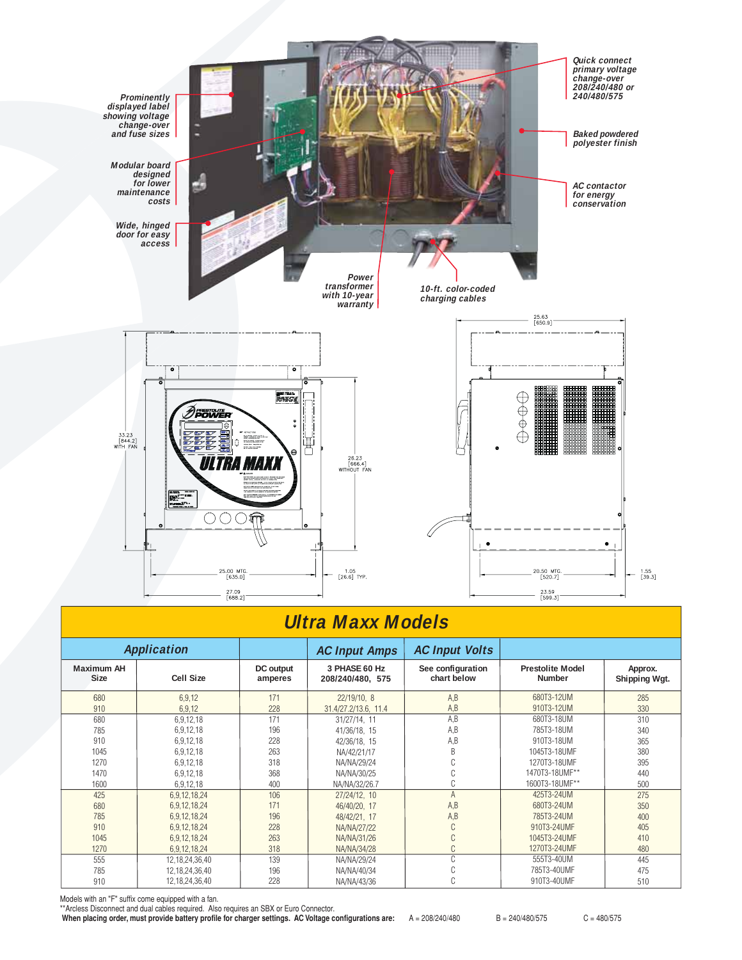

## **Ultra Maxx Models**

| <b>Application</b>               |                        |                      | <b>AC Input Amps</b>              | <b>AC Input Volts</b>            |                                          |                          |
|----------------------------------|------------------------|----------------------|-----------------------------------|----------------------------------|------------------------------------------|--------------------------|
| <b>Maximum AH</b><br><b>Size</b> | <b>Cell Size</b>       | DC output<br>amperes | 3 PHASE 60 Hz<br>208/240/480, 575 | See configuration<br>chart below | <b>Prestolite Model</b><br><b>Number</b> | Approx.<br>Shipping Wgt. |
| 680                              | 6,9,12                 | 171                  | 22/19/10, 8                       | A,B                              | 680T3-12UM                               | 285                      |
| 910<br>680                       | 6,9,12                 | 228<br>171           | 31.4/27.2/13.6. 11.4              | A,B<br>A.B                       | 910T3-12UM<br>680T3-18UM                 | 330<br>310               |
| 785                              | 6,9,12,18<br>6,9,12,18 | 196                  | 31/27/14.11<br>41/36/18, 15       | A,B                              | 785T3-18UM                               | 340                      |
| 910                              | 6,9,12,18              | 228                  | 42/36/18, 15                      | A,B                              | 910T3-18UM                               | 365                      |
| 1045                             | 6,9,12,18              | 263                  | NA/42/21/17                       | R                                | 1045T3-18UMF                             | 380                      |
| 1270                             | 6,9,12,18              | 318                  | NA/NA/29/24                       |                                  | 1270T3-18UMF                             | 395                      |
| 1470                             | 6,9,12,18              | 368                  | NA/NA/30/25                       |                                  | 1470T3-18UMF**                           | 440                      |
| 1600                             | 6,9,12,18              | 400                  | NA/NA/32/26.7                     |                                  | 1600T3-18UMF**                           | 500                      |
| 425                              | 6,9,12,18,24           | 106                  | 27/24/12, 10                      |                                  | 425T3-24UM                               | 275                      |
| 680                              | 6,9,12,18,24           | 171                  | 46/40/20, 17                      | A,B                              | 680T3-24UM                               | 350                      |
| 785                              | 6,9,12,18,24           | 196                  | 48/42/21, 17                      | A,B                              | 785T3-24UM                               | 400                      |
| 910                              | 6,9,12,18,24           | 228                  | NA/NA/27/22                       |                                  | 910T3-24UMF                              | 405                      |
| 1045                             | 6,9,12,18,24           | 263                  | NA/NA/31/26                       |                                  | 1045T3-24UMF                             | 410                      |
| 1270                             | 6,9,12,18,24           | 318                  | NA/NA/34/28                       |                                  | 1270T3-24UMF                             | 480                      |
| 555                              | 12,18,24,36,40         | 139                  | NA/NA/29/24                       | $\sim$                           | 555T3-40UM                               | 445                      |
| 785                              | 12,18,24,36,40         | 196                  | NA/NA/40/34                       |                                  | 785T3-40UMF                              | 475                      |
| 910                              | 12,18,24,36,40         | 228                  | NA/NA/43/36                       |                                  | 910T3-40UMF                              | 510                      |

Models with an "F" suffix come equipped with a fan.

\*\*Arcless Disconnect and dual cables required. Also requires an SBX or Euro Connector.

When placing order, must provide battery profile for charger settings. AC Voltage configurations are: A = 208/240/480 B = 240/480/575 C = 480/575